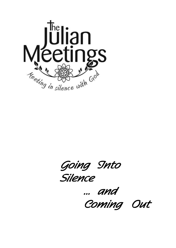

 *Going Into Silence* 

 *... and Coming Out*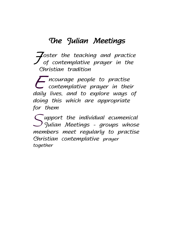## *The Julian Meetings*

*F oster the teaching and practice of contemplative prayer in the Christian tradition*

*E contemplative prayer in their ncourage people to practise daily lives, and to explore ways of doing this which are appropriate for them*

*S Julian Meetings - groups whose upport the individual ecumenical members meet regularly to practise Christian contemplative prayer together*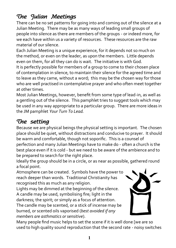## *The Julian Meetings*

There can be no set patterns for going into and coming out of the silence at a Julian Meeting. There may be as many ways of leading small groups of people into silence as there are members of the groups - or indeed more, for we each have within us a variety of resources. These resources are the raw material of our silence.

Each Julian Meeting is a unique experience, for it depends not so much on the method, or even on the leader, as upon the members. Little depends even on them, for all they can do is wait. The initiative is with God.

It is perfectly possible for members of a group to come to their chosen place of contemplation in silence, to maintain their silence for the agreed time and to leave as they came, without a word; this may be the chosen way for those who are well practised in contemplative prayer and who often meet together at other times.

Most Julian Meetings, however, benefit from some type of lead-in, as well as a gentling out of the silence. This pamphlet tries to suggest tools which may be used in any way appropriate to a particular group. There are more ideas in the JM pamphlet *Your Turn To Lead.*

## *The setting*

Because we are physical beings the physical setting is important. The chosen place should be quiet, without distractions and conducive to prayer. It should be warm and comfortable, though not soporific. This is a counsel of

perfection and many Julian Meetings have to make do - often a church is the best place even if it is cold - but we need to be aware of the ambience and to be prepared to search for the right place.

Ideally the group should be in a circle, or as near as possible, gathered round a focal point.

Atmosphere can be created. Symbols have the power to reach deeper than words. Traditional Christianity has recognised this as much as any religion.

Lights may be dimmed at the beginning of the silence. A candle may be used, symbolising fire; light in the darkness; the spirit; or simply as a focus of attention. The candle may be scented, or a stick of incense may be

burned, or scented oils vaporised (*best avoided if any members are asthmatics or sensitive*).



Many people find music helps to set the scene if it is well done [we are so used to high quality sound reproduction that the second rate - noisy switches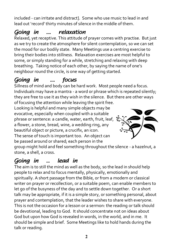included - can irritate and distract]. Some who use music to lead in and lead out 'record' thirty minutes of silence in the middle of them.

# *Going in .... relaxation*

Relaxed, yet receptive. This attitude of prayer comes with practise. But just as we try to create the atmosphere for silent contemplation, so we can set the mood for our bodily state. Many Meetings use a centring exercise to bring their bodies into stillness. Relaxation exercises are most helpful to some, or simply standing for a while, stretching and relaxing with deep breathing. Taking notice of each other, by saying the name of one's neighbour round the circle, is one way of getting started.

# *Going in .... focus*

Sillness of mind and body can be hard work. Most people need a focus. Individuals may have a mantra - a word or phrase which is repeated silently; they are free to use it as they wish in the silence. But there are other ways of focusing the attention while leaving the spirit free.

Looking is helpful and many simple objects may be evocative, especially when coupled with a suitable phrase or sentence: a candle, water, earth, fruit, leaf, a flower, a stone, bread, wine, a wedding ring, any beautiful object or picture, a crucifix, an icon. The sense of touch is important too. An object can

be passed around or shared; each person in the



group might hold and feel something throughout the silence - a hazelnut, a stone, a shell, a cross.

## *Going in ... lead in*

The aim is to still the mind as well as the body, so the lead in should help people to relax and to focus mentally, physically, emotionally and spiritually. A short passage from the Bible, or from a modern or classical writer on prayer or recollection, or a suitable poem, can enable members to let go of the busyness of the day and to settle down together. Or a short talk may be appropriate, if it is a simple story, or something personal, about prayer and contemplation, that the leader wishes to share with everyone. This is not the occasion for a lesson or a sermon: the reading or talk should be devotional, leading to God. It should concentrate not on ideas about God but upon how God is revealed in words, in the world, and in me. It should be simple and brief. Some Meetings like to hold hands during the talk or reading.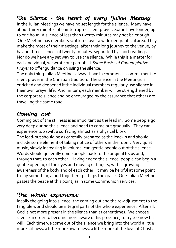## *The Silence - the heart of every Julian Meeting*

In the Julian Meetings we have no set length for the silence. Many have about thirty minutes of uninterrupted silent prayer. Some have longer, up to one hour. A silence of less than twenty minutes may not be enough. One Meeting has members scattered over a wide geographical area. They make the most of their meetings, after their long journey to the venue, by having three silences of twenty minutes, separated by short readings. Nor do we have any set way to use the silence. While this is a matter for each individual, we wrote our pamphlet *Some Basics of Contemplative Prayer* to offer quidance on using the silence.

The only thing Julian Meetings always have in common is commitment to silent prayer in the Christian tradition. The silence in the Meetings is enriched and deepened if the individual members regularly use silence in their own prayer life. And, in turn, each member will be strengthened by the corporate silence and be encouraged by the assurance that others are travelling the same road.

## *Coming out*

Coming out of the stillness is as important as the lead in. Some people go very deep during the silence and need to come out gradually. They can experience too swift a surfacing almost as a physical blow. The lead-out should be as carefully prepared as the lead-in and should include some element of taking notice of others in the room. Very quiet music, slowly increasing in volume, can gentle people out of the silence. Words should generally guide people back to the original focus and, through that, to each other. Having ended the silence, people can begin a gentle opening of the eyes and moving of fingers, with a growing awareness of the body and of each other. It may be helpful at some point to say something aloud together - perhaps the grace. One Julian Meeting passes the peace at this point, as in some Communion services.

## *The whole experience*

Ideally the going into silence, the coming out and the re-adjustment to the tangible world should be integral parts of the whole experience. After all, God is not more present in the silence than at other times. We choose silence in order to become more aware of his presence, to try to know his will. Each time we come out of the silence we bring into the world a little more stillness, a little more awareness, a little more of the love of Christ.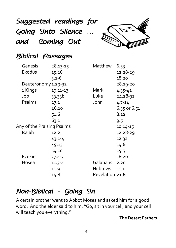# *Suggested readings for Going Into Silence … and Coming Out*



# *Biblical Passages*

| Genesis                    | 28.13-15   | Matthew         | 6.33         |
|----------------------------|------------|-----------------|--------------|
| Exodus                     | 15.26      |                 | 12.28-29     |
|                            | $3.1 - 6$  |                 | 18.20        |
| Deuteronomy 1.29-32        |            |                 | 28.19-20     |
| 1 Kings                    | 19.11-13   | Mark            | $4.35 - 41$  |
| Job                        | 33.33b     | Luke            | 24.28-32     |
| Psalms                     | 27.1       | John            | $4.7 - 14$   |
|                            | 46.10      |                 | 6.35 or 6.51 |
|                            | 51.6       |                 | 8.12         |
|                            | 63.1       |                 | 9.5          |
| Any of the Praising Psalms |            |                 | 10.14-15     |
| Isaiah                     | 12.2       |                 | 12.28-29     |
|                            | $43.1 - 4$ |                 | 12.32        |
|                            | 49.15      |                 | 14.6         |
|                            | 54.10      |                 | 15.5         |
| Ezekiel                    | $37.4 - 7$ |                 | 18.20        |
| Hosea                      | $11.3 - 4$ | Galatians       | 2.20         |
|                            | 11.9       | <b>Hebrews</b>  | 11.1         |
|                            | 14.8       | Revelation 21.6 |              |

# *Non-Biblical - Going In*

A certain brother went to Abbot Moses and asked him for a good word. And the elder said to him, "Go, sit in your cell, and your cell will teach you everything."

#### **The Desert Fathers**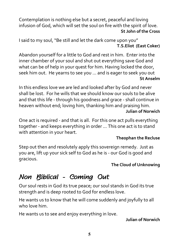Contemplation is nothing else but a secret, peaceful and loving infusion of God, which will set the soul on fire with the spirit of love. **St John of the Cross**

I said to my soul, "Be still and let the dark come upon you" **T.S.Eliot (East Coker)**

Abandon yourself for a little to God and rest in him. Enter into the inner chamber of your soul and shut out everything save God and what can be of help in your quest for him. Having locked the door, seek him out. He yearns to see you … and is eager to seek you out **St Anselm**

In this endless love we are led and looked after by God and never shall be lost. For he wills that we should know our souls to be alive and that this life - through his goodness and grace - shall continue in heaven without end; loving him, thanking him and praising him. **Julian of Norwich**

One act is required - and that is all. For this one act pulls everything together - and keeps everything in order ... This one act is to stand with attention in your heart.

### **Theophan the Recluse**

Step out then and resolutely apply this sovereign remedy. Just as you are, lift up your sick self to God as he is - our God is good and gracious.

#### **The Cloud of Unknowing**

# *Non Biblical - Coming Out*

Our soul rests in God its true peace; our soul stands in God its true strength and is deep rooted to God for endless love.

He wants us to know that he will come suddenly and joyfully to all who love him.

He wants us to see and enjoy everything in love.

#### **Julian of Norwich**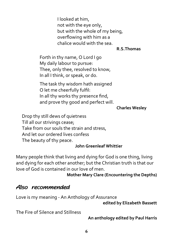I looked at him, not with the eye only, but with the whole of my being, overflowing with him as a chalice would with the sea.

#### **R.S.Thomas**

Forth in thy name, O Lord I go My daily labour to pursue: Thee, only thee, resolved to know, In all I think, or speak, or do.

The task thy wisdom hath assigned O let me cheerfully fulfil: In all thy works thy presence find, and prove thy good and perfect will.

#### **Charles Wesley**

Drop thy still dews of quietness Till all our strivings cease; Take from our souls the strain and stress, And let our ordered lives confess The beauty of thy peace.

#### **John Greenleaf Whittier**

Many people think that living and dying for God is one thing, living and dying for each other another; but the Christian truth is that our love of God is contained in our love of men.

#### **Mother Mary Clare (Encountering the Depths)**

### *Also recommended*

Love is my meaning - An Anthology of Assurance

**edited by Elizabeth Bassett**

The Fire of Silence and Stillness

**An anthology edited by Paul Harris**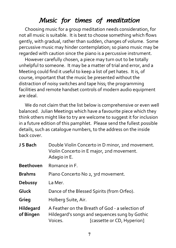# *Music for times of meditation*

Choosing music for a group meditation needs consideration, for not all music is suitable. It is best to choose something which flows gently, with gradual, rather than sudden, changes of volume. Some percussive music may hinder contemplation; so piano music may be regarded with caution since the piano is a percussive instrument.

However carefully chosen, a piece may turn out to be totally unhelpful to someone. It may be a matter of trial and error, and a Meeting could find it useful to keep a list of pet hates. It is, of course, important that the music be presented without the distraction of noisy switches and tape hiss; the programming facilities and remote handset controls of modern audio equipment are ideal.

We do not claim that the list below is comprehensive or even well balanced. Julian Meetings which have a favourite piece which they think others might like to try are welcome to suggest it for inclusion in a future edition of this pamphlet. Please send the fullest possible details, such as catalogue numbers, to the address on the inside back cover.

| J S Bach               | Double Violin Concerto in D minor, 2nd movement.<br>Violin Concerto in E major, 2nd movement.<br>Adagio in E.                              |  |
|------------------------|--------------------------------------------------------------------------------------------------------------------------------------------|--|
| <b>Beethoven</b>       | Romance in F.                                                                                                                              |  |
| <b>Brahms</b>          | Piano Concerto No 2, 3rd movement.                                                                                                         |  |
| Debussy                | La Mer.                                                                                                                                    |  |
| Gluck                  | Dance of the Blessed Spirits (from Orfeo).                                                                                                 |  |
| Grieg                  | Holberg Suite, Air.                                                                                                                        |  |
| Hildegard<br>of Bingen | A Feather on the Breath of God - a selection of<br>Hildegard's songs and sequences sung by Gothic<br>[cassette or CD, Hyperion]<br>Voices. |  |
|                        |                                                                                                                                            |  |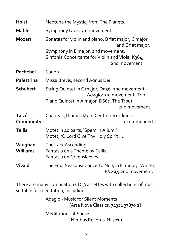| <b>Holst</b>               | Neptune the Mystic, from The Planets.                                                                                                        |
|----------------------------|----------------------------------------------------------------------------------------------------------------------------------------------|
| <b>Mahler</b>              | Symphony No 4, 3rd movement.                                                                                                                 |
| <b>Mozart</b>              | Sonatas for violin and piano: B flat major, C major<br>and E flat major.<br>Symphony in E major, 2nd movement.                               |
|                            | Sinfonia Concertante for Violin and Viola, K364,<br>2nd movement.                                                                            |
| <b>Pachebel</b>            | Canon.                                                                                                                                       |
| <b>Palestrina</b>          | Missa Brevis, second Agnus Dei.                                                                                                              |
| Schubert                   | String Quintet in C major, D956, 2nd movement,<br>Adagio: 3rd movement, Trio.<br>Piano Quintet in A major, D667, The Trout,<br>2nd movement. |
| <b>Taizé</b><br>Community  | Chants. [Thomas More Centre recordings<br>recommended.]                                                                                      |
| <b>Tallis</b>              | Motet in 40 parts, 'Spem in Alium.'<br>Motet, 'O Lord Give Thy Holy Spirit '                                                                 |
| Vaughan<br><b>Williams</b> | The Lark Ascending.<br>Fantasia on a Theme by Tallis.<br>Fantasia on Greensleeves.                                                           |
| Vivaldi                    | The Four Seasons: Concerto No 4 in F minor, Winter,<br>RV297, 2nd movement.                                                                  |

There are many compilation CDs/cassettes with collections of music suitable for meditation, including:

> Adagio - Music for Silent Moments [Arte Nova Classics, 74321 37870 2] Meditations at Sunset [Nimbus Records NI 7010]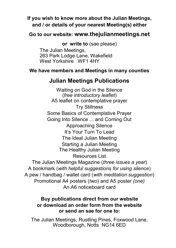### **If you wish to know more about the Julian Meetings, and / or details of your nearest Meeting(s) either**

### **Go to our website: www.thejulianmeetings.net**

**or write to** (sae please)

The Julian Meetings, 263 Park Lodge Lane, Wakefield West Yorkshire WF1 4HY

#### **We have members and Meetings in many counties**

### **Julian Meetings Publications**

Waiting on God in the Silence (*free introductory leaflet*) A5 leaflet on contemplative prayer Try Stillness Some Basics of Contemplative Prayer Going Into Silence ... and Coming Out Approaching Silence It's Your Turn To Lead The Ideal Julian Meeting Starting a Julian Meeting The Healthy Julian Meeting Resources List The Julian Meetings Magazine (*three issues a year*) A bookmark (*with helpful suggestions for using silence*)

A pew / handbag / wallet card (*with meditation suggestion*) Promotional A4 posters (*two*) and A5 poster *(one)* An A6 noticeboard card

#### **Buy publications direct from our website or download an order form from the website or send an sae for one to:**

The Julian Meetings, Rustling Pines, Foxwood Lane, Woodborough, Notts NG14 6ED